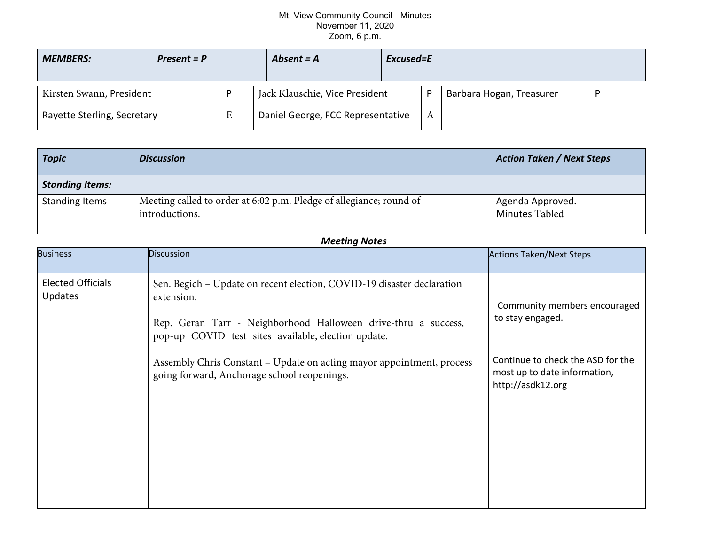## Mt. View Community Council - Minutes November 11, 2020 Zoom, 6 p.m.

| <b>MEMBERS:</b>             | $Present = P$ | Absent $= A$                      | Excused=E |   |                          |  |
|-----------------------------|---------------|-----------------------------------|-----------|---|--------------------------|--|
| Kirsten Swann, President    |               | Jack Klauschie, Vice President    |           | D | Barbara Hogan, Treasurer |  |
| Rayette Sterling, Secretary |               | Daniel George, FCC Representative |           | А |                          |  |

| <b>Topic</b>           | <b>Discussion</b>                                                                     | <b>Action Taken / Next Steps</b>   |
|------------------------|---------------------------------------------------------------------------------------|------------------------------------|
| <b>Standing Items:</b> |                                                                                       |                                    |
| <b>Standing Items</b>  | Meeting called to order at 6:02 p.m. Pledge of allegiance; round of<br>introductions. | Agenda Approved.<br>Minutes Tabled |

| <b>Meeting Notes</b>                       |                                                                                                                                                                                                                                                                                        |                                                                                                                       |  |  |  |  |  |
|--------------------------------------------|----------------------------------------------------------------------------------------------------------------------------------------------------------------------------------------------------------------------------------------------------------------------------------------|-----------------------------------------------------------------------------------------------------------------------|--|--|--|--|--|
| <b>Business</b>                            | <b>Discussion</b>                                                                                                                                                                                                                                                                      | <b>Actions Taken/Next Steps</b>                                                                                       |  |  |  |  |  |
| <b>Elected Officials</b><br><b>Updates</b> | Sen. Begich - Update on recent election, COVID-19 disaster declaration<br>extension.<br>Rep. Geran Tarr - Neighborhood Halloween drive-thru a success,<br>pop-up COVID test sites available, election update.<br>Assembly Chris Constant - Update on acting mayor appointment, process | Community members encouraged<br>to stay engaged.<br>Continue to check the ASD for the<br>most up to date information, |  |  |  |  |  |
|                                            | going forward, Anchorage school reopenings.                                                                                                                                                                                                                                            | http://asdk12.org                                                                                                     |  |  |  |  |  |